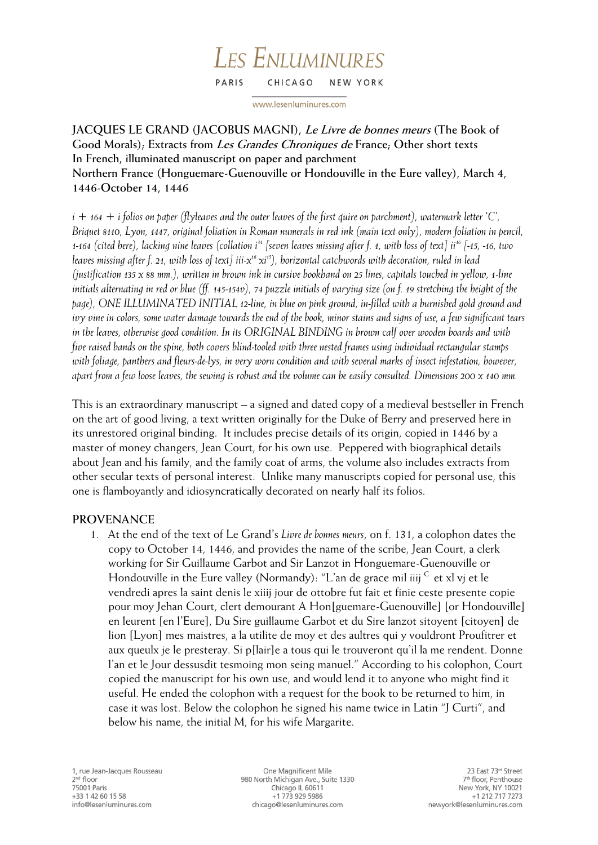#### **LES ENLUMINURES** PARIS CHICAGO NEW YORK

www.lesenluminures.com

# **JACQUES LE GRAND (JACOBUS MAGNI), Le Livre de bonnes meurs (The Book of Good Morals); Extracts from Les Grandes Chroniques de France; Other short texts In French, illuminated manuscript on paper and parchment Northern France (Honguemare-Guenouville or Hondouville in the Eure valley), March 4, 1446-October 14, 1446**

*i + 164 + i folios on paper (flyleaves and the outer leaves of the first quire on parchment), watermark letter 'C', Briquet 8110, Lyon, 1447, original foliation in Roman numerals in red ink (main text only), modern foliation in pencil, 1-164 (cited here), lacking nine leaves (collation i<sup>14</sup> [seven leaves missing after f. 1, with loss of text] ii<sup>16</sup> [-15, -16, two leaves missing after f. 21, with loss of text] iii-x <sup>16</sup> xi<sup>15</sup>), horizontal catchwords with decoration, ruled in lead (justification 135 x 88 mm.), written in brown ink in cursive bookhand on 25 lines, capitals touched in yellow, 1-line initials alternating in red or blue (ff. 145-154v), 74 puzzle initials of varying size (on f. 19 stretching the height of the page), ONE ILLUMINATED INITIAL 12-line, in blue on pink ground, in-filled with a burnished gold ground and ivy vine in colors, some water damage towards the end of the book, minor stains and signs of use, a few significant tears in the leaves, otherwise good condition. In its ORIGINAL BINDING in brown calf over wooden boards and with five raised bands on the spine, both covers blind-tooled with three nested frames using individual rectangular stamps with foliage, panthers and fleurs-de-lys, in very worn condition and with several marks of insect infestation, however, apart from a few loose leaves, the sewing is robust and the volume can be easily consulted. Dimensions 200 x 140 mm.* 

This is an extraordinary manuscript – a signed and dated copy of a medieval bestseller in French on the art of good living, a text written originally for the Duke of Berry and preserved here in its unrestored original binding. It includes precise details of its origin, copied in 1446 by a master of money changers, Jean Court, for his own use. Peppered with biographical details about Jean and his family, and the family coat of arms, the volume also includes extracts from other secular texts of personal interest. Unlike many manuscripts copied for personal use, this one is flamboyantly and idiosyncratically decorated on nearly half its folios.

# **PROVENANCE**

1. At the end of the text of Le Grand's *Livre de bonnes meurs*, on f. 131, a colophon dates the copy to October 14, 1446, and provides the name of the scribe, Jean Court, a clerk working for Sir Guillaume Garbot and Sir Lanzot in Honguemare-Guenouville or Hondouville in the Eure valley (Normandy): "L'an de grace mil iiij  $\mathbb{C}$  et xl vj et le vendredi apres la saint denis le xiiij jour de ottobre fut fait et finie ceste presente copie pour moy Jehan Court, clert demourant A Hon[guemare-Guenouville] [or Hondouville] en leurent [en l'Eure], Du Sire guillaume Garbot et du Sire lanzot sitoyent [citoyen] de lion [Lyon] mes maistres, a la utilite de moy et des aultres qui y vouldront Proufitrer et aux queulx je le presteray. Si p[lair]e a tous qui le trouveront qu'il la me rendent. Donne l'an et le Jour dessusdit tesmoing mon seing manuel." According to his colophon, Court copied the manuscript for his own use, and would lend it to anyone who might find it useful. He ended the colophon with a request for the book to be returned to him, in case it was lost. Below the colophon he signed his name twice in Latin "J Curti", and below his name, the initial M, for his wife Margarite.

One Magnificent Mile 980 North Michigan Ave., Suite 1330 Chicago IL 60611 +1 773 929 5986 chicago@lesenluminures.com

23 East 73rd Street 7<sup>th</sup> floor, Penthouse New York, NY 10021 +1 212 717 7273 newyork@lesenluminures.com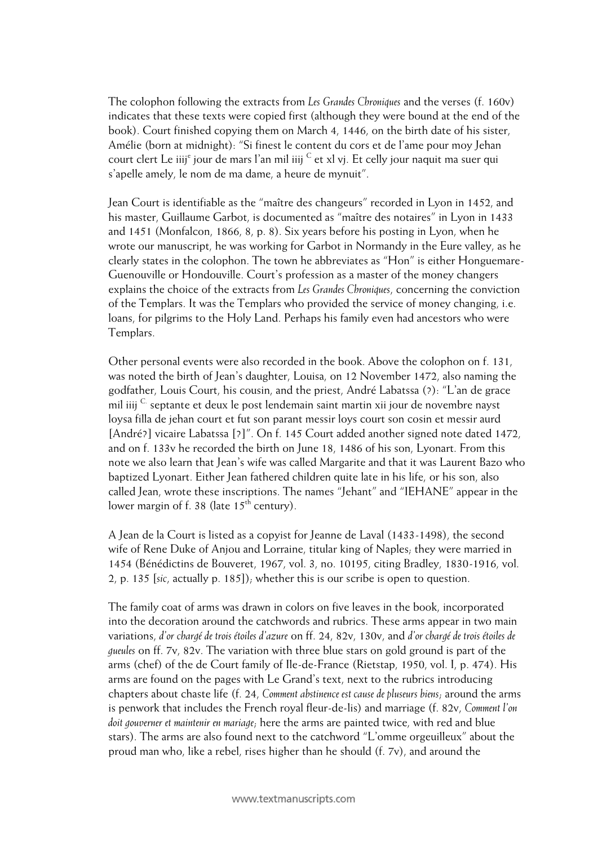The colophon following the extracts from *Les Grandes Chroniques* and the verses (f. 160v) indicates that these texts were copied first (although they were bound at the end of the book). Court finished copying them on March 4, 1446, on the birth date of his sister, Amélie (born at midnight): "Si finest le content du cors et de l'ame pour moy Jehan court clert Le iiij<sup>e</sup> jour de mars l'an mil iiij  $\mathrm{c}$  et xl vj. Et celly jour naquit ma suer qui s'apelle amely, le nom de ma dame, a heure de mynuit".

Jean Court is identifiable as the "maître des changeurs" recorded in Lyon in 1452, and his master, Guillaume Garbot, is documented as "maître des notaires" in Lyon in 1433 and 1451 (Monfalcon, 1866, 8, p. 8). Six years before his posting in Lyon, when he wrote our manuscript, he was working for Garbot in Normandy in the Eure valley, as he clearly states in the colophon. The town he abbreviates as "Hon" is either Honguemare-Guenouville or Hondouville. Court's profession as a master of the money changers explains the choice of the extracts from *Les Grandes Chroniques*, concerning the conviction of the Templars. It was the Templars who provided the service of money changing, i.e. loans, for pilgrims to the Holy Land. Perhaps his family even had ancestors who were Templars.

Other personal events were also recorded in the book. Above the colophon on f. 131, was noted the birth of Jean's daughter, Louisa, on 12 November 1472, also naming the godfather, Louis Court, his cousin, and the priest, André Labatssa (?): "L'an de grace mil iiij C septante et deux le post lendemain saint martin xii jour de novembre nayst loysa filla de jehan court et fut son parant messir loys court son cosin et messir aurd [André?] vicaire Labatssa [?]". On f. 145 Court added another signed note dated 1472, and on f. 133v he recorded the birth on June 18, 1486 of his son, Lyonart. From this note we also learn that Jean's wife was called Margarite and that it was Laurent Bazo who baptized Lyonart. Either Jean fathered children quite late in his life, or his son, also called Jean, wrote these inscriptions. The names "Jehant" and "IEHANE" appear in the lower margin of f. 38 (late  $15<sup>th</sup>$  century).

A Jean de la Court is listed as a copyist for Jeanne de Laval (1433-1498), the second wife of Rene Duke of Anjou and Lorraine, titular king of Naples; they were married in 1454 (Bénédictins de Bouveret, 1967, vol. 3, no. 10195, citing Bradley, 1830-1916, vol. 2, p. 135 [*sic*, actually p. 185]); whether this is our scribe is open to question.

The family coat of arms was drawn in colors on five leaves in the book, incorporated into the decoration around the catchwords and rubrics. These arms appear in two main variations, *d'or chargé de trois étoiles d'azure* on ff. 24, 82v, 130v, and *d'or chargé de trois étoiles de gueules* on ff. 7v, 82v. The variation with three blue stars on gold ground is part of the arms (chef) of the de Court family of Ile-de-France (Rietstap, 1950, vol. I, p. 474). His arms are found on the pages with Le Grand's text, next to the rubrics introducing chapters about chaste life (f. 24, *Comment abstinence est cause de pluseurs biens*; around the arms is penwork that includes the French royal fleur-de-lis) and marriage (f. 82v, *Comment l'on doit gouverner et maintenir en mariage*; here the arms are painted twice, with red and blue stars). The arms are also found next to the catchword "L'omme orgeuilleux" about the proud man who, like a rebel, rises higher than he should (f. 7v), and around the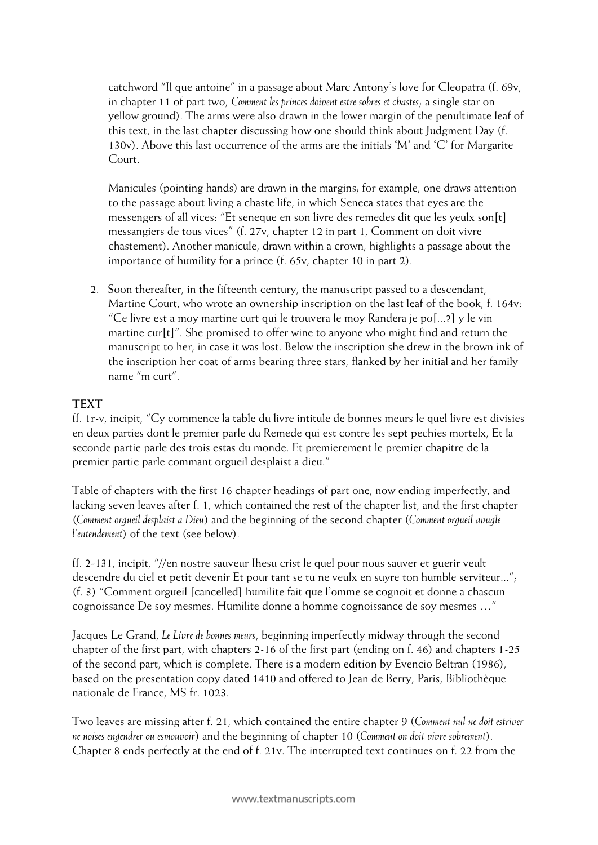catchword "Il que antoine" in a passage about Marc Antony's love for Cleopatra (f. 69v, in chapter 11 of part two, *Comment les princes doivent estre sobres et chastes*; a single star on yellow ground). The arms were also drawn in the lower margin of the penultimate leaf of this text, in the last chapter discussing how one should think about Judgment Day (f. 130v). Above this last occurrence of the arms are the initials 'M' and 'C' for Margarite Court.

Manicules (pointing hands) are drawn in the margins; for example, one draws attention to the passage about living a chaste life, in which Seneca states that eyes are the messengers of all vices: "Et seneque en son livre des remedes dit que les yeulx son[t] messangiers de tous vices" (f. 27v, chapter 12 in part 1, Comment on doit vivre chastement). Another manicule, drawn within a crown, highlights a passage about the importance of humility for a prince (f. 65v, chapter 10 in part 2).

2. Soon thereafter, in the fifteenth century, the manuscript passed to a descendant, Martine Court, who wrote an ownership inscription on the last leaf of the book, f. 164v: "Ce livre est a moy martine curt qui le trouvera le moy Randera je po[...?] y le vin martine cur[t]". She promised to offer wine to anyone who might find and return the manuscript to her, in case it was lost. Below the inscription she drew in the brown ink of the inscription her coat of arms bearing three stars, flanked by her initial and her family name "m curt".

# **TEXT**

ff. 1r-v, incipit, "Cy commence la table du livre intitule de bonnes meurs le quel livre est divisies en deux parties dont le premier parle du Remede qui est contre les sept pechies mortelx, Et la seconde partie parle des trois estas du monde. Et premierement le premier chapitre de la premier partie parle commant orgueil desplaist a dieu."

Table of chapters with the first 16 chapter headings of part one, now ending imperfectly, and lacking seven leaves after f. 1, which contained the rest of the chapter list, and the first chapter (*Comment orgueil desplaist a Dieu*) and the beginning of the second chapter (*Comment orgueil avugle l'entendement*) of the text (see below).

ff. 2-131, incipit, "//en nostre sauveur Ihesu crist le quel pour nous sauver et guerir veult descendre du ciel et petit devenir Et pour tant se tu ne veulx en suyre ton humble serviteur..."; (f. 3) "Comment orgueil [cancelled] humilite fait que l'omme se cognoit et donne a chascun cognoissance De soy mesmes. Humilite donne a homme cognoissance de soy mesmes …"

Jacques Le Grand, *Le Livre de bonnes meurs*, beginning imperfectly midway through the second chapter of the first part, with chapters 2-16 of the first part (ending on f. 46) and chapters 1-25 of the second part, which is complete. There is a modern edition by Evencio Beltran (1986), based on the presentation copy dated 1410 and offered to Jean de Berry, Paris, Bibliothèque nationale de France, MS fr. 1023.

Two leaves are missing after f. 21, which contained the entire chapter 9 (*Comment nul ne doit estriver ne noises engendrer ou esmouvoir*) and the beginning of chapter 10 (*Comment on doit vivre sobrement*). Chapter 8 ends perfectly at the end of f. 21v. The interrupted text continues on f. 22 from the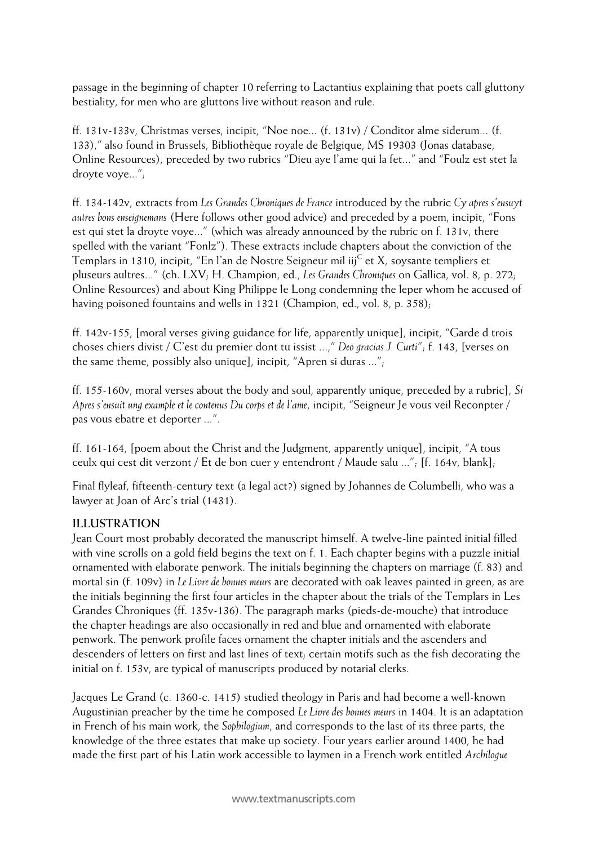passage in the beginning of chapter 10 referring to Lactantius explaining that poets call gluttony bestiality, for men who are gluttons live without reason and rule.

ff. 131v-133v, Christmas verses, incipit, "Noe noe... (f. 131v) / Conditor alme siderum... (f. 133)," also found in Brussels, Bibliothèque royale de Belgique, MS 19303 (Jonas database, Online Resources), preceded by two rubrics "Dieu aye l'ame qui la fet..." and "Foulz est stet la droyte voye...";

ff. 134-142v, extracts from *Les Grandes Chroniques de France* introduced by the rubric *Cy apres s'ensuyt autres bons enseignemans* (Here follows other good advice) and preceded by a poem, incipit, "Fons est qui stet la droyte voye..." (which was already announced by the rubric on f. 131v, there spelled with the variant "Fonlz"). These extracts include chapters about the conviction of the Templars in 1310, incipit, "En l'an de Nostre Seigneur mil iij<sup>C</sup> et X, soysante templiers et pluseurs aultres..." (ch. LXV; H. Champion, ed., *Les Grandes Chroniques* on Gallica, vol. 8, p. 272; Online Resources) and about King Philippe le Long condemning the leper whom he accused of having poisoned fountains and wells in 1321 (Champion, ed., vol. 8, p. 358);

ff. 142v-155, [moral verses giving guidance for life, apparently unique], incipit, "Garde d trois choses chiers divist / C'est du premier dont tu issist ...," *Deo gracias J. Curti*"; f. 143, [verses on the same theme, possibly also unique], incipit, "Apren si duras ...";

ff. 155-160v, moral verses about the body and soul, apparently unique, preceded by a rubric], *Si Apres s'ensuit ung example et le contenus Du corps et de l'ame*, incipit, "Seigneur Je vous veil Reconpter / pas vous ebatre et deporter ...".

ff. 161-164, [poem about the Christ and the Judgment, apparently unique], incipit, "A tous ceulx qui cest dit verzont / Et de bon cuer y entendront / Maude salu ..."; [f. 164v, blank];

Final flyleaf, fifteenth-century text (a legal act?) signed by Johannes de Columbelli, who was a lawyer at Joan of Arc's trial (1431).

# **ILLUSTRATION**

Jean Court most probably decorated the manuscript himself. A twelve-line painted initial filled with vine scrolls on a gold field begins the text on f. 1. Each chapter begins with a puzzle initial ornamented with elaborate penwork. The initials beginning the chapters on marriage (f. 83) and mortal sin (f. 109v) in *Le Livre de bonnes meurs* are decorated with oak leaves painted in green, as are the initials beginning the first four articles in the chapter about the trials of the Templars in Les Grandes Chroniques (ff. 135v-136). The paragraph marks (pieds-de-mouche) that introduce the chapter headings are also occasionally in red and blue and ornamented with elaborate penwork. The penwork profile faces ornament the chapter initials and the ascenders and descenders of letters on first and last lines of text; certain motifs such as the fish decorating the initial on f. 153v, are typical of manuscripts produced by notarial clerks.

Jacques Le Grand (c. 1360-c. 1415) studied theology in Paris and had become a well-known Augustinian preacher by the time he composed *Le Livre des bonnes meurs* in 1404. It is an adaptation in French of his main work, the *Sophilogium*, and corresponds to the last of its three parts, the knowledge of the three estates that make up society. Four years earlier around 1400, he had made the first part of his Latin work accessible to laymen in a French work entitled *Archilogue*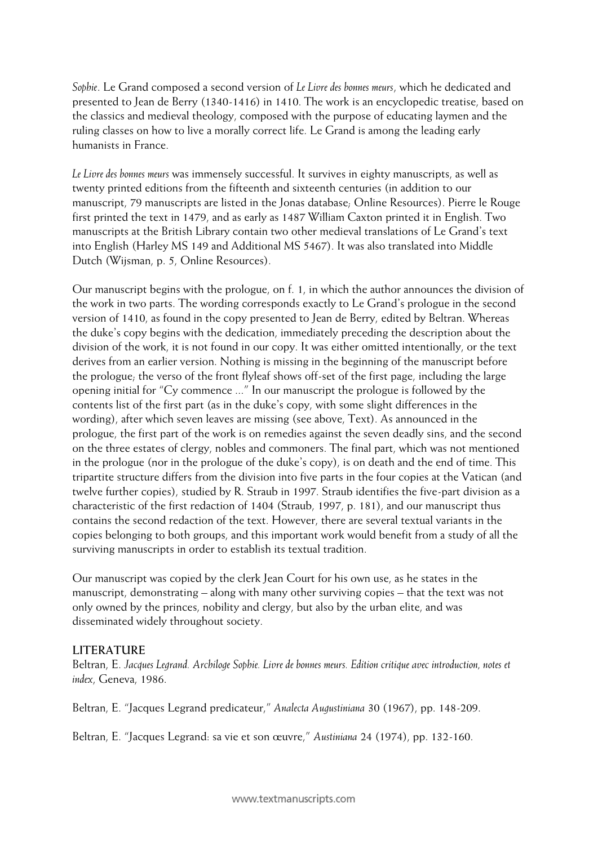*Sophie*. Le Grand composed a second version of *Le Livre des bonnes meurs*, which he dedicated and presented to Jean de Berry (1340-1416) in 1410. The work is an encyclopedic treatise, based on the classics and medieval theology, composed with the purpose of educating laymen and the ruling classes on how to live a morally correct life. Le Grand is among the leading early humanists in France.

*Le Livre des bonnes meurs* was immensely successful. It survives in eighty manuscripts, as well as twenty printed editions from the fifteenth and sixteenth centuries (in addition to our manuscript, 79 manuscripts are listed in the Jonas database; Online Resources). Pierre le Rouge first printed the text in 1479, and as early as 1487 William Caxton printed it in English. Two manuscripts at the British Library contain two other medieval translations of Le Grand's text into English (Harley MS 149 and Additional MS 5467). It was also translated into Middle Dutch (Wijsman, p. 5, Online Resources).

Our manuscript begins with the prologue, on f. 1, in which the author announces the division of the work in two parts. The wording corresponds exactly to Le Grand's prologue in the second version of 1410, as found in the copy presented to Jean de Berry, edited by Beltran. Whereas the duke's copy begins with the dedication, immediately preceding the description about the division of the work, it is not found in our copy. It was either omitted intentionally, or the text derives from an earlier version. Nothing is missing in the beginning of the manuscript before the prologue; the verso of the front flyleaf shows off-set of the first page, including the large opening initial for "Cy commence ..." In our manuscript the prologue is followed by the contents list of the first part (as in the duke's copy, with some slight differences in the wording), after which seven leaves are missing (see above, Text). As announced in the prologue, the first part of the work is on remedies against the seven deadly sins, and the second on the three estates of clergy, nobles and commoners. The final part, which was not mentioned in the prologue (nor in the prologue of the duke's copy), is on death and the end of time. This tripartite structure differs from the division into five parts in the four copies at the Vatican (and twelve further copies), studied by R. Straub in 1997. Straub identifies the five-part division as a characteristic of the first redaction of 1404 (Straub, 1997, p. 181), and our manuscript thus contains the second redaction of the text. However, there are several textual variants in the copies belonging to both groups, and this important work would benefit from a study of all the surviving manuscripts in order to establish its textual tradition.

Our manuscript was copied by the clerk Jean Court for his own use, as he states in the manuscript, demonstrating – along with many other surviving copies – that the text was not only owned by the princes, nobility and clergy, but also by the urban elite, and was disseminated widely throughout society.

### **LITERATURE**

Beltran, E. *Jacques Legrand. Archiloge Sophie. Livre de bonnes meurs. Edition critique avec introduction, notes et index*, Geneva, 1986.

Beltran, E. "Jacques Legrand predicateur," *Analecta Augustiniana* 30 (1967), pp. 148-209.

Beltran, E. "Jacques Legrand: sa vie et son œuvre," *Austiniana* 24 (1974), pp. 132-160.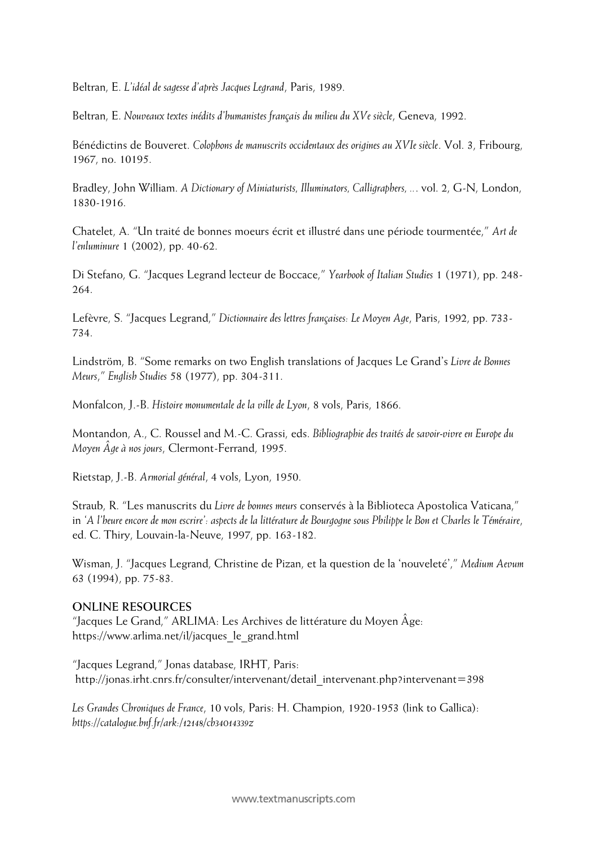Beltran, E. *L'idéal de sagesse d'après Jacques Legrand*, Paris, 1989.

Beltran, E. *Nouveaux textes inédits d'humanistes français du milieu du XVe siècle*, Geneva, 1992.

Bénédictins de Bouveret. *Colophons de manuscrits occidentaux des origines au XVIe siècle*. Vol. 3, Fribourg, 1967, no. 10195.

Bradley, John William. *A Dictionary of Miniaturists, Illuminators, Calligraphers, ..*. vol. 2, G-N, London, 1830-1916.

Chatelet, A. "Un traité de bonnes moeurs écrit et illustré dans une période tourmentée," *Art de l'enluminure* 1 (2002), pp. 40-62.

Di Stefano, G. "Jacques Legrand lecteur de Boccace," *Yearbook of Italian Studies* 1 (1971), pp. 248- 264.

Lefèvre, S. "Jacques Legrand," *Dictionnaire des lettres françaises: Le Moyen Age*, Paris, 1992, pp. 733- 734.

Lindström, B. "Some remarks on two English translations of Jacques Le Grand's *Livre de Bonnes Meurs*," *English Studies* 58 (1977), pp. 304-311.

Monfalcon, J.-B. *Histoire monumentale de la ville de Lyon*, 8 vols, Paris, 1866.

Montandon, A., C. Roussel and M.-C. Grassi, eds. *Bibliographie des traités de savoir-vivre en Europe du Moyen Âge à nos jours*, Clermont-Ferrand, 1995.

Rietstap, J.-B. *Armorial général*, 4 vols, Lyon, 1950.

Straub, R. "Les manuscrits du *Livre de bonnes meurs* conservés à la Biblioteca Apostolica Vaticana," in *'A l'heure encore de mon escrire': aspects de la littérature de Bourgogne sous Philippe le Bon et Charles le Téméraire*, ed. C. Thiry, Louvain-la-Neuve, 1997, pp. 163-182.

Wisman, J. "Jacques Legrand, Christine de Pizan, et la question de la 'nouveleté'," *Medium Aevum*  63 (1994), pp. 75-83.

### **ONLINE RESOURCES**

"Jacques Le Grand," ARLIMA: Les Archives de littérature du Moyen Âge: https://www.arlima.net/il/jacques\_le\_grand.html

"Jacques Legrand," Jonas database, IRHT, Paris: http://jonas.irht.cnrs.fr/consulter/intervenant/detail\_intervenant.php?intervenant=398

*Les Grandes Chroniques de France*, 10 vols, Paris: H. Champion, 1920-1953 (link to Gallica): *https://catalogue.bnf.fr/ark:/12148/cb34014339z*